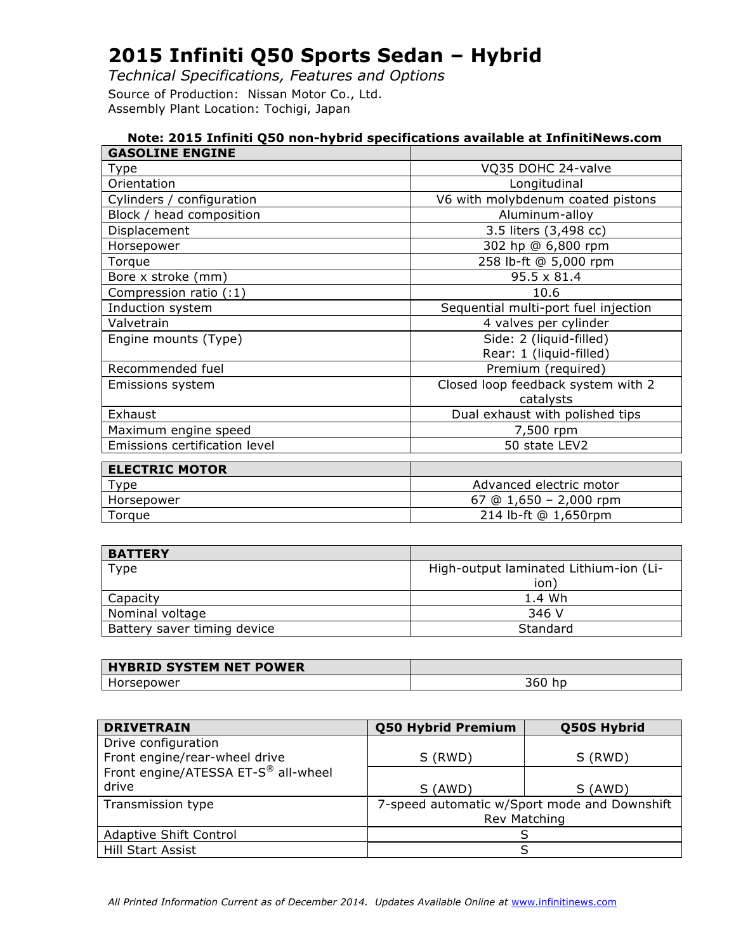*Technical Specifications, Features and Options* Source of Production: Nissan Motor Co., Ltd. Assembly Plant Location: Tochigi, Japan

|                               | Note: 2015 Infiniti Q50 non-hybrid specifications available at InfinitiNews.com |
|-------------------------------|---------------------------------------------------------------------------------|
| <b>GASOLINE ENGINE</b>        |                                                                                 |
| Type                          | VQ35 DOHC 24-valve                                                              |
| Orientation                   | Longitudinal                                                                    |
| Cylinders / configuration     | V6 with molybdenum coated pistons                                               |
| Block / head composition      | Aluminum-alloy                                                                  |
| Displacement                  | 3.5 liters (3,498 cc)                                                           |
| Horsepower                    | 302 hp @ 6,800 rpm                                                              |
| Torque                        | 258 lb-ft @ 5,000 rpm                                                           |
| Bore x stroke (mm)            | $95.5 \times 81.4$                                                              |
| Compression ratio (:1)        | 10.6                                                                            |
| Induction system              | Sequential multi-port fuel injection                                            |
| Valvetrain                    | 4 valves per cylinder                                                           |
| Engine mounts (Type)          | Side: 2 (liquid-filled)                                                         |
|                               | Rear: 1 (liquid-filled)                                                         |
| Recommended fuel              | Premium (required)                                                              |
| Emissions system              | Closed loop feedback system with 2                                              |
|                               | catalysts                                                                       |
| Exhaust                       | Dual exhaust with polished tips                                                 |
| Maximum engine speed          | 7,500 rpm                                                                       |
| Emissions certification level | 50 state LEV2                                                                   |
| <b>ELECTRIC MOTOR</b>         |                                                                                 |
| <b>Type</b>                   | Advanced electric motor                                                         |
| Horsepower                    | 67 @ $1,650 - 2,000$ rpm                                                        |
| Torque                        | 214 lb-ft @ 1,650rpm                                                            |

| <b>BATTERY</b>              |                                        |
|-----------------------------|----------------------------------------|
| Type                        | High-output laminated Lithium-ion (Li- |
|                             | ion <sup>:</sup>                       |
| Capacity                    | 1.4 Wh                                 |
| Nominal voltage             | 346 V                                  |
| Battery saver timing device | Standard                               |

| <b>HYBRID SYSTEM NET POWER</b> |    |
|--------------------------------|----|
| IMP                            | -- |

| <b>DRIVETRAIN</b>                   | <b>Q50 Hybrid Premium</b>                    | Q50S Hybrid |
|-------------------------------------|----------------------------------------------|-------------|
| Drive configuration                 |                                              |             |
| Front engine/rear-wheel drive       | S (RWD)                                      | S (RWD)     |
| Front engine/ATESSA ET-S® all-wheel |                                              |             |
| drive                               | S (AWD)                                      | S (AWD)     |
| Transmission type                   | 7-speed automatic w/Sport mode and Downshift |             |
|                                     | Rev Matching                                 |             |
| <b>Adaptive Shift Control</b>       |                                              |             |
| Hill Start Assist                   |                                              |             |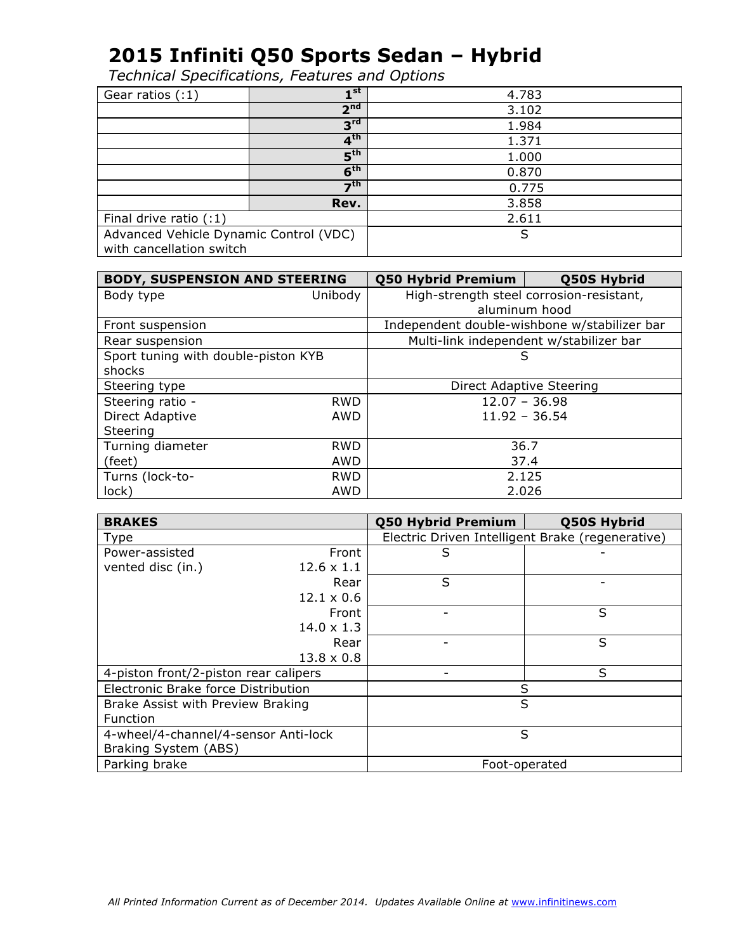| Gear ratios $(:1)$                     | 4 st               | 4.783 |
|----------------------------------------|--------------------|-------|
|                                        | 2 <sup>nd</sup>    | 3.102 |
|                                        | $3^{\text{rd}}$    | 1.984 |
|                                        | 4 <sup>th</sup>    | 1.371 |
|                                        | $5^{\text{th}}$    | 1.000 |
|                                        | 6 <sup>th</sup>    | 0.870 |
|                                        | $\mathbf{\tau}$ th | 0.775 |
|                                        | Rev.               | 3.858 |
| Final drive ratio $(1)$                |                    | 2.611 |
| Advanced Vehicle Dynamic Control (VDC) |                    | S     |
| with cancellation switch               |                    |       |

| <b>BODY, SUSPENSION AND STEERING</b> |            | <b>Q50 Hybrid Premium</b>                | Q50S Hybrid                                  |
|--------------------------------------|------------|------------------------------------------|----------------------------------------------|
| Body type                            | Unibody    | High-strength steel corrosion-resistant, |                                              |
|                                      |            |                                          | aluminum hood                                |
| Front suspension                     |            |                                          | Independent double-wishbone w/stabilizer bar |
| Rear suspension                      |            |                                          | Multi-link independent w/stabilizer bar      |
| Sport tuning with double-piston KYB  |            | S                                        |                                              |
| shocks                               |            |                                          |                                              |
| Steering type                        |            | Direct Adaptive Steering                 |                                              |
| Steering ratio -                     | <b>RWD</b> | $12.07 - 36.98$                          |                                              |
| Direct Adaptive                      | AWD        | $11.92 - 36.54$                          |                                              |
| Steering                             |            |                                          |                                              |
| Turning diameter                     | <b>RWD</b> | 36.7                                     |                                              |
| (feet)                               | AWD        | 37.4                                     |                                              |
| Turns (lock-to-                      | <b>RWD</b> | 2.125                                    |                                              |
| lock)                                | AWD        | 2.026                                    |                                              |

| <b>BRAKES</b>                         |                   | Q50 Hybrid Premium                               | Q50S Hybrid |
|---------------------------------------|-------------------|--------------------------------------------------|-------------|
| Type                                  |                   | Electric Driven Intelligent Brake (regenerative) |             |
| Power-assisted                        | Front             | S                                                |             |
| vented disc (in.)                     | $12.6 \times 1.1$ |                                                  |             |
|                                       | Rear              | S                                                |             |
|                                       | $12.1 \times 0.6$ |                                                  |             |
|                                       | Front             |                                                  | S           |
|                                       | $14.0 \times 1.3$ |                                                  |             |
|                                       | Rear              |                                                  | S           |
|                                       | $13.8 \times 0.8$ |                                                  |             |
| 4-piston front/2-piston rear calipers |                   |                                                  | S           |
| Electronic Brake force Distribution   |                   | S                                                |             |
| Brake Assist with Preview Braking     |                   | S                                                |             |
| <b>Function</b>                       |                   |                                                  |             |
| 4-wheel/4-channel/4-sensor Anti-lock  |                   | S                                                |             |
| Braking System (ABS)                  |                   |                                                  |             |
| Parking brake                         |                   | Foot-operated                                    |             |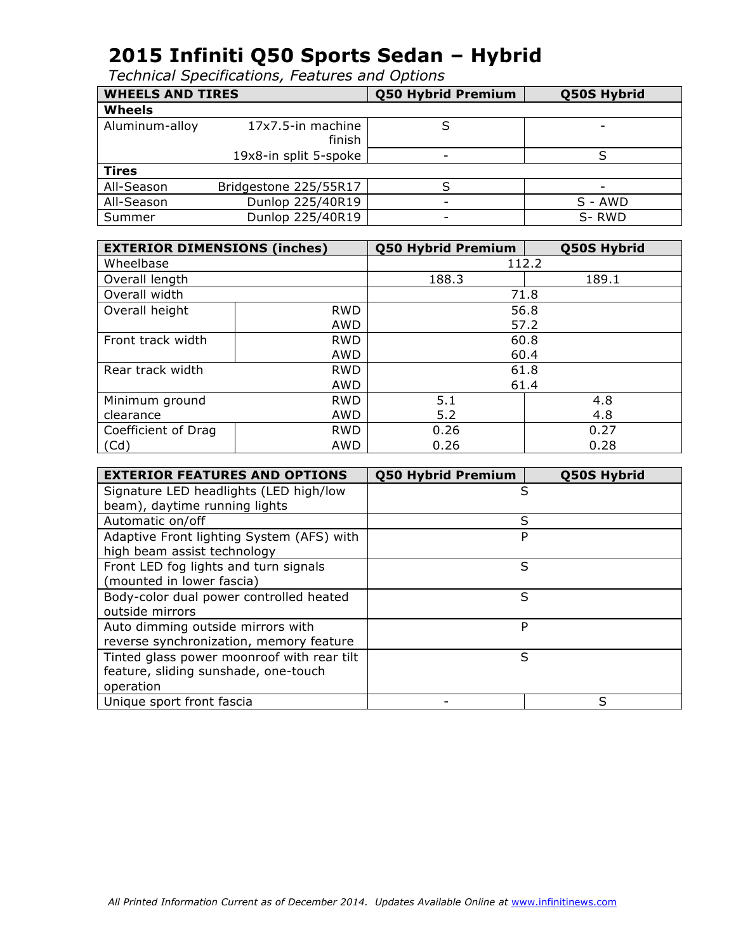| <b>WHEELS AND TIRES</b> |                             | <b>Q50 Hybrid Premium</b> | Q50S Hybrid              |
|-------------------------|-----------------------------|---------------------------|--------------------------|
| <b>Wheels</b>           |                             |                           |                          |
| Aluminum-alloy          | 17x7.5-in machine<br>finish |                           | $\overline{\phantom{0}}$ |
|                         | 19x8-in split 5-spoke       | -                         |                          |
| <b>Tires</b>            |                             |                           |                          |
| All-Season              | Bridgestone 225/55R17       |                           |                          |
| All-Season              | Dunlop 225/40R19            | $\overline{\phantom{0}}$  | $S - AWD$                |
| Summer                  | Dunlop 225/40R19            | $\overline{\phantom{a}}$  | S-RWD                    |

|                     | <b>EXTERIOR DIMENSIONS (inches)</b> |       | Q50S Hybrid |
|---------------------|-------------------------------------|-------|-------------|
| Wheelbase           |                                     | 112.2 |             |
| Overall length      |                                     | 188.3 | 189.1       |
| Overall width       |                                     |       | 71.8        |
| Overall height      | <b>RWD</b>                          |       | 56.8        |
|                     | AWD                                 |       | 57.2        |
| Front track width   | <b>RWD</b>                          | 60.8  |             |
|                     | <b>AWD</b>                          | 60.4  |             |
| Rear track width    | <b>RWD</b>                          | 61.8  |             |
|                     | <b>AWD</b>                          | 61.4  |             |
| Minimum ground      | <b>RWD</b>                          | 5.1   | 4.8         |
| clearance           | AWD                                 | 5.2   | 4.8         |
| Coefficient of Drag | <b>RWD</b>                          | 0.26  | 0.27        |
| (Cd)                | AWD                                 | 0.26  | 0.28        |

| <b>EXTERIOR FEATURES AND OPTIONS</b>       | <b>Q50 Hybrid Premium</b> | Q50S Hybrid |
|--------------------------------------------|---------------------------|-------------|
| Signature LED headlights (LED high/low     |                           | S           |
| beam), daytime running lights              |                           |             |
| Automatic on/off                           |                           | S           |
| Adaptive Front lighting System (AFS) with  |                           | P           |
| high beam assist technology                |                           |             |
| Front LED fog lights and turn signals      |                           | S           |
| (mounted in lower fascia)                  |                           |             |
| Body-color dual power controlled heated    |                           | S           |
| outside mirrors                            |                           |             |
| Auto dimming outside mirrors with          |                           | P           |
| reverse synchronization, memory feature    |                           |             |
| Tinted glass power moonroof with rear tilt |                           | S           |
| feature, sliding sunshade, one-touch       |                           |             |
| operation                                  |                           |             |
| Unique sport front fascia                  |                           | ς           |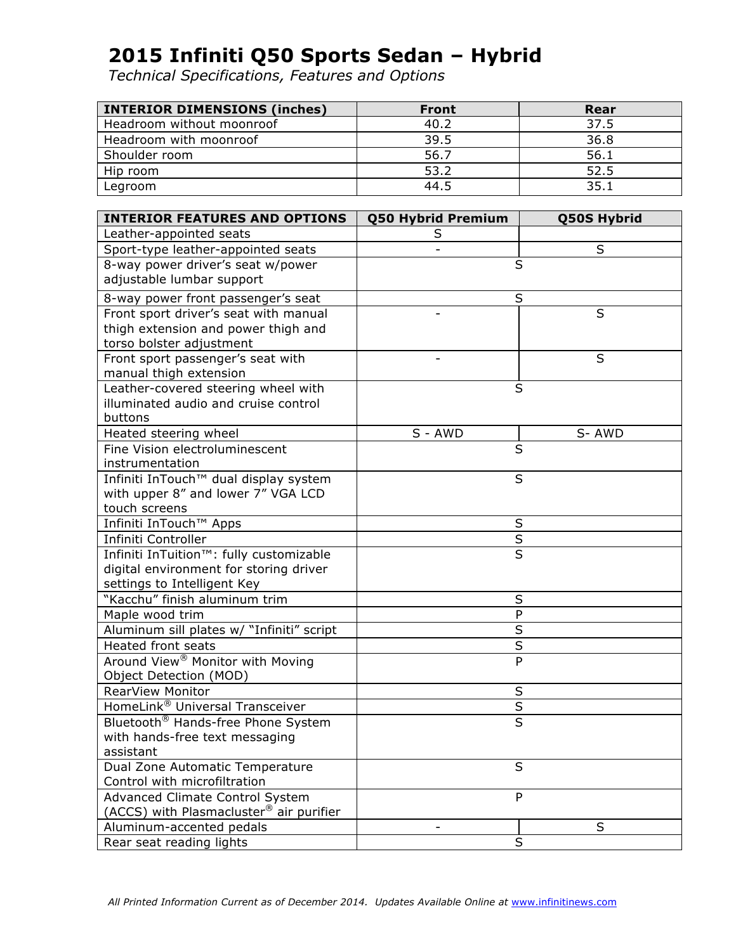| <b>INTERIOR DIMENSIONS (inches)</b> | <b>Front</b> | Rear |
|-------------------------------------|--------------|------|
| Headroom without moonroof           | 40.2         | 37.5 |
| Headroom with moonroof              | 39.5         | 36.8 |
| Shoulder room                       | 56.7         | 56.1 |
| Hip room                            | 53.2         | 52.5 |
| Legroom                             | 44.5         | 35.1 |

| <b>INTERIOR FEATURES AND OPTIONS</b>           | <b>Q50 Hybrid Premium</b> | <b>Q50S Hybrid</b> |
|------------------------------------------------|---------------------------|--------------------|
| Leather-appointed seats                        | S                         |                    |
| Sport-type leather-appointed seats             |                           | S                  |
| 8-way power driver's seat w/power              | S                         |                    |
| adjustable lumbar support                      |                           |                    |
| 8-way power front passenger's seat             | S                         |                    |
| Front sport driver's seat with manual          |                           | S                  |
| thigh extension and power thigh and            |                           |                    |
| torso bolster adjustment                       |                           |                    |
| Front sport passenger's seat with              |                           | S                  |
| manual thigh extension                         |                           |                    |
| Leather-covered steering wheel with            | S                         |                    |
| illuminated audio and cruise control           |                           |                    |
| buttons                                        |                           |                    |
| Heated steering wheel                          | S - AWD                   | S-AWD              |
| Fine Vision electroluminescent                 | S                         |                    |
| instrumentation                                |                           |                    |
| Infiniti InTouch™ dual display system          | S                         |                    |
| with upper 8" and lower 7" VGA LCD             |                           |                    |
| touch screens                                  |                           |                    |
| Infiniti InTouch™ Apps                         | S                         |                    |
| Infiniti Controller                            | $\overline{\mathsf{S}}$   |                    |
| Infiniti InTuition™: fully customizable        | S                         |                    |
| digital environment for storing driver         |                           |                    |
| settings to Intelligent Key                    |                           |                    |
| "Kacchu" finish aluminum trim                  | $\sf S$                   |                    |
| Maple wood trim                                | ${\sf P}$                 |                    |
| Aluminum sill plates w/ "Infiniti" script      | $\overline{S}$            |                    |
| <b>Heated front seats</b>                      | $\sf S$                   |                    |
| Around View <sup>®</sup> Monitor with Moving   | P                         |                    |
| Object Detection (MOD)                         |                           |                    |
| RearView Monitor                               | $\sf S$                   |                    |
| HomeLink <sup>®</sup> Universal Transceiver    | $rac{S}{S}$               |                    |
| Bluetooth <sup>®</sup> Hands-free Phone System |                           |                    |
| with hands-free text messaging                 |                           |                    |
| assistant                                      |                           |                    |
| Dual Zone Automatic Temperature                | S                         |                    |
| Control with microfiltration                   |                           |                    |
| Advanced Climate Control System                | P                         |                    |
| (ACCS) with Plasmacluster® air purifier        |                           |                    |
| Aluminum-accented pedals                       |                           | S                  |
| Rear seat reading lights                       | S                         |                    |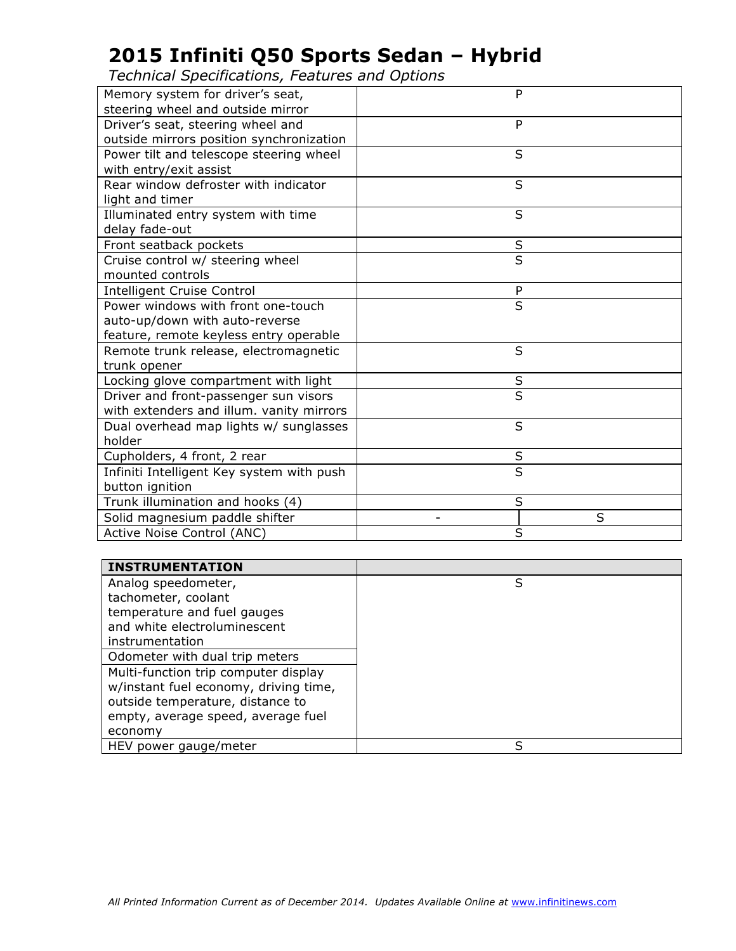| steering wheel and outside mirror<br>Driver's seat, steering wheel and<br>P<br>outside mirrors position synchronization<br>Power tilt and telescope steering wheel<br>S<br>with entry/exit assist<br>Rear window defroster with indicator<br>S<br>light and timer<br>Illuminated entry system with time<br>S<br>delay fade-out<br>Front seatback pockets<br>$\sf S$<br>$\overline{\mathsf{s}}$<br>Cruise control w/ steering wheel<br>mounted controls<br><b>Intelligent Cruise Control</b><br>P<br>S<br>Power windows with front one-touch<br>auto-up/down with auto-reverse<br>feature, remote keyless entry operable<br>S<br>Remote trunk release, electromagnetic<br>trunk opener<br>Locking glove compartment with light<br>S<br>S<br>Driver and front-passenger sun visors<br>with extenders and illum. vanity mirrors<br>S<br>Dual overhead map lights w/ sunglasses<br>holder<br>$\sf S$<br>Cupholders, 4 front, 2 rear<br>$\overline{\mathsf{s}}$<br>Infiniti Intelligent Key system with push<br>button ignition<br>Trunk illumination and hooks (4)<br>S<br>Solid magnesium paddle shifter<br>S |                                  |   |
|------------------------------------------------------------------------------------------------------------------------------------------------------------------------------------------------------------------------------------------------------------------------------------------------------------------------------------------------------------------------------------------------------------------------------------------------------------------------------------------------------------------------------------------------------------------------------------------------------------------------------------------------------------------------------------------------------------------------------------------------------------------------------------------------------------------------------------------------------------------------------------------------------------------------------------------------------------------------------------------------------------------------------------------------------------------------------------------------------------|----------------------------------|---|
|                                                                                                                                                                                                                                                                                                                                                                                                                                                                                                                                                                                                                                                                                                                                                                                                                                                                                                                                                                                                                                                                                                            | Memory system for driver's seat, | P |
|                                                                                                                                                                                                                                                                                                                                                                                                                                                                                                                                                                                                                                                                                                                                                                                                                                                                                                                                                                                                                                                                                                            |                                  |   |
|                                                                                                                                                                                                                                                                                                                                                                                                                                                                                                                                                                                                                                                                                                                                                                                                                                                                                                                                                                                                                                                                                                            |                                  |   |
|                                                                                                                                                                                                                                                                                                                                                                                                                                                                                                                                                                                                                                                                                                                                                                                                                                                                                                                                                                                                                                                                                                            |                                  |   |
|                                                                                                                                                                                                                                                                                                                                                                                                                                                                                                                                                                                                                                                                                                                                                                                                                                                                                                                                                                                                                                                                                                            |                                  |   |
|                                                                                                                                                                                                                                                                                                                                                                                                                                                                                                                                                                                                                                                                                                                                                                                                                                                                                                                                                                                                                                                                                                            |                                  |   |
|                                                                                                                                                                                                                                                                                                                                                                                                                                                                                                                                                                                                                                                                                                                                                                                                                                                                                                                                                                                                                                                                                                            |                                  |   |
|                                                                                                                                                                                                                                                                                                                                                                                                                                                                                                                                                                                                                                                                                                                                                                                                                                                                                                                                                                                                                                                                                                            |                                  |   |
|                                                                                                                                                                                                                                                                                                                                                                                                                                                                                                                                                                                                                                                                                                                                                                                                                                                                                                                                                                                                                                                                                                            |                                  |   |
|                                                                                                                                                                                                                                                                                                                                                                                                                                                                                                                                                                                                                                                                                                                                                                                                                                                                                                                                                                                                                                                                                                            |                                  |   |
|                                                                                                                                                                                                                                                                                                                                                                                                                                                                                                                                                                                                                                                                                                                                                                                                                                                                                                                                                                                                                                                                                                            |                                  |   |
|                                                                                                                                                                                                                                                                                                                                                                                                                                                                                                                                                                                                                                                                                                                                                                                                                                                                                                                                                                                                                                                                                                            |                                  |   |
|                                                                                                                                                                                                                                                                                                                                                                                                                                                                                                                                                                                                                                                                                                                                                                                                                                                                                                                                                                                                                                                                                                            |                                  |   |
|                                                                                                                                                                                                                                                                                                                                                                                                                                                                                                                                                                                                                                                                                                                                                                                                                                                                                                                                                                                                                                                                                                            |                                  |   |
|                                                                                                                                                                                                                                                                                                                                                                                                                                                                                                                                                                                                                                                                                                                                                                                                                                                                                                                                                                                                                                                                                                            |                                  |   |
|                                                                                                                                                                                                                                                                                                                                                                                                                                                                                                                                                                                                                                                                                                                                                                                                                                                                                                                                                                                                                                                                                                            |                                  |   |
|                                                                                                                                                                                                                                                                                                                                                                                                                                                                                                                                                                                                                                                                                                                                                                                                                                                                                                                                                                                                                                                                                                            |                                  |   |
|                                                                                                                                                                                                                                                                                                                                                                                                                                                                                                                                                                                                                                                                                                                                                                                                                                                                                                                                                                                                                                                                                                            |                                  |   |
|                                                                                                                                                                                                                                                                                                                                                                                                                                                                                                                                                                                                                                                                                                                                                                                                                                                                                                                                                                                                                                                                                                            |                                  |   |
|                                                                                                                                                                                                                                                                                                                                                                                                                                                                                                                                                                                                                                                                                                                                                                                                                                                                                                                                                                                                                                                                                                            |                                  |   |
|                                                                                                                                                                                                                                                                                                                                                                                                                                                                                                                                                                                                                                                                                                                                                                                                                                                                                                                                                                                                                                                                                                            |                                  |   |
|                                                                                                                                                                                                                                                                                                                                                                                                                                                                                                                                                                                                                                                                                                                                                                                                                                                                                                                                                                                                                                                                                                            |                                  |   |
|                                                                                                                                                                                                                                                                                                                                                                                                                                                                                                                                                                                                                                                                                                                                                                                                                                                                                                                                                                                                                                                                                                            |                                  |   |
|                                                                                                                                                                                                                                                                                                                                                                                                                                                                                                                                                                                                                                                                                                                                                                                                                                                                                                                                                                                                                                                                                                            |                                  |   |
|                                                                                                                                                                                                                                                                                                                                                                                                                                                                                                                                                                                                                                                                                                                                                                                                                                                                                                                                                                                                                                                                                                            |                                  |   |
|                                                                                                                                                                                                                                                                                                                                                                                                                                                                                                                                                                                                                                                                                                                                                                                                                                                                                                                                                                                                                                                                                                            |                                  |   |
|                                                                                                                                                                                                                                                                                                                                                                                                                                                                                                                                                                                                                                                                                                                                                                                                                                                                                                                                                                                                                                                                                                            |                                  |   |
|                                                                                                                                                                                                                                                                                                                                                                                                                                                                                                                                                                                                                                                                                                                                                                                                                                                                                                                                                                                                                                                                                                            |                                  |   |
|                                                                                                                                                                                                                                                                                                                                                                                                                                                                                                                                                                                                                                                                                                                                                                                                                                                                                                                                                                                                                                                                                                            |                                  |   |
| Active Noise Control (ANC)<br>S                                                                                                                                                                                                                                                                                                                                                                                                                                                                                                                                                                                                                                                                                                                                                                                                                                                                                                                                                                                                                                                                            |                                  |   |

| <b>INSTRUMENTATION</b>                |   |
|---------------------------------------|---|
| Analog speedometer,                   | S |
| tachometer, coolant                   |   |
| temperature and fuel gauges           |   |
| and white electroluminescent          |   |
| instrumentation                       |   |
| Odometer with dual trip meters        |   |
| Multi-function trip computer display  |   |
| w/instant fuel economy, driving time, |   |
| outside temperature, distance to      |   |
| empty, average speed, average fuel    |   |
| economy                               |   |
| HEV power gauge/meter                 | S |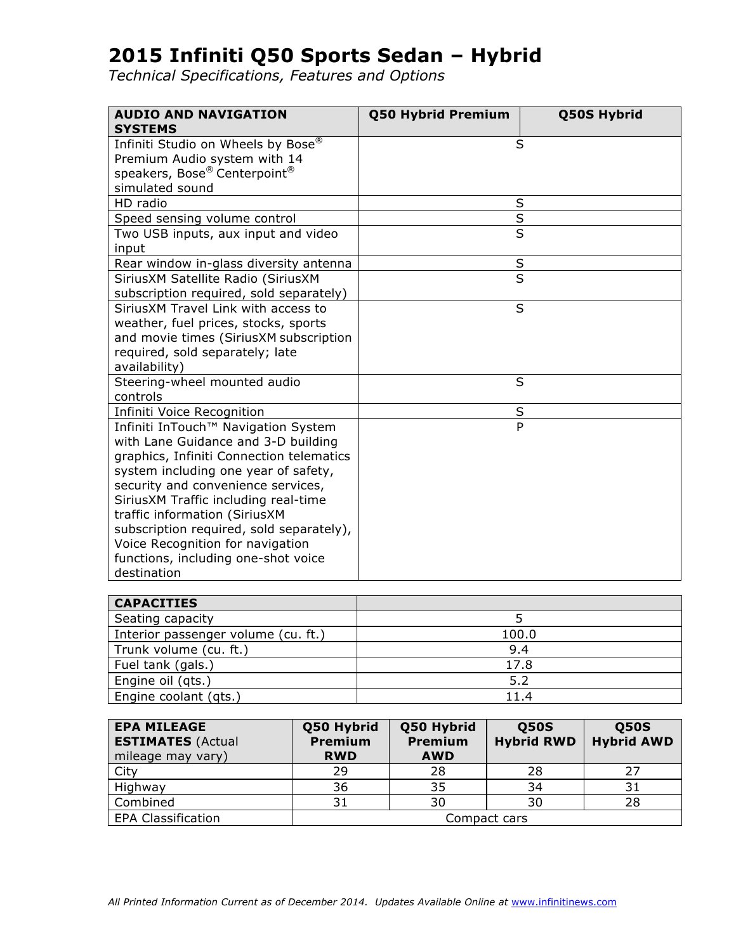| <b>AUDIO AND NAVIGATION</b><br><b>SYSTEMS</b>                                                                                                                                                                                                                                                                                                                                                                       | Q50 Hybrid Premium      | <b>Q50S Hybrid</b> |
|---------------------------------------------------------------------------------------------------------------------------------------------------------------------------------------------------------------------------------------------------------------------------------------------------------------------------------------------------------------------------------------------------------------------|-------------------------|--------------------|
| Infiniti Studio on Wheels by Bose®<br>Premium Audio system with 14<br>speakers, Bose® Centerpoint®<br>simulated sound                                                                                                                                                                                                                                                                                               | S                       |                    |
| HD radio                                                                                                                                                                                                                                                                                                                                                                                                            | S                       |                    |
| Speed sensing volume control                                                                                                                                                                                                                                                                                                                                                                                        | S                       |                    |
| Two USB inputs, aux input and video<br>input                                                                                                                                                                                                                                                                                                                                                                        | $\overline{\mathsf{s}}$ |                    |
| Rear window in-glass diversity antenna                                                                                                                                                                                                                                                                                                                                                                              | S                       |                    |
| SiriusXM Satellite Radio (SiriusXM<br>subscription required, sold separately)                                                                                                                                                                                                                                                                                                                                       | $\overline{\mathsf{s}}$ |                    |
| SiriusXM Travel Link with access to<br>weather, fuel prices, stocks, sports<br>and movie times (SiriusXM subscription<br>required, sold separately; late<br>availability)                                                                                                                                                                                                                                           | S                       |                    |
| Steering-wheel mounted audio<br>controls                                                                                                                                                                                                                                                                                                                                                                            | S                       |                    |
| Infiniti Voice Recognition                                                                                                                                                                                                                                                                                                                                                                                          | $\sf S$                 |                    |
| Infiniti InTouch™ Navigation System<br>with Lane Guidance and 3-D building<br>graphics, Infiniti Connection telematics<br>system including one year of safety,<br>security and convenience services,<br>SiriusXM Traffic including real-time<br>traffic information (SiriusXM<br>subscription required, sold separately),<br>Voice Recognition for navigation<br>functions, including one-shot voice<br>destination | $\overline{P}$          |                    |

| <b>CAPACITIES</b>                   |       |
|-------------------------------------|-------|
| Seating capacity                    |       |
| Interior passenger volume (cu. ft.) | 100.0 |
| Trunk volume (cu. ft.)              | 9.4   |
| Fuel tank (gals.)                   | 17.8  |
| Engine oil (qts.)                   | 5.2   |
| Engine coolant (qts.)               | 11.4  |

| <b>EPA MILEAGE</b><br><b>ESTIMATES (Actual</b><br>mileage may vary) | Q50 Hybrid<br><b>Premium</b><br><b>RWD</b> | Q50 Hybrid<br><b>Premium</b><br><b>AWD</b> | <b>Q50S</b><br><b>Hybrid RWD</b> | <b>Q50S</b><br><b>Hybrid AWD</b> |
|---------------------------------------------------------------------|--------------------------------------------|--------------------------------------------|----------------------------------|----------------------------------|
| City                                                                | 29                                         | 28                                         | 28                               | 27                               |
| Highway                                                             | 36                                         | 35                                         | 34                               | 31                               |
| Combined                                                            | 31                                         | 30                                         | 30                               | 28                               |
| <b>EPA Classification</b>                                           | Compact cars                               |                                            |                                  |                                  |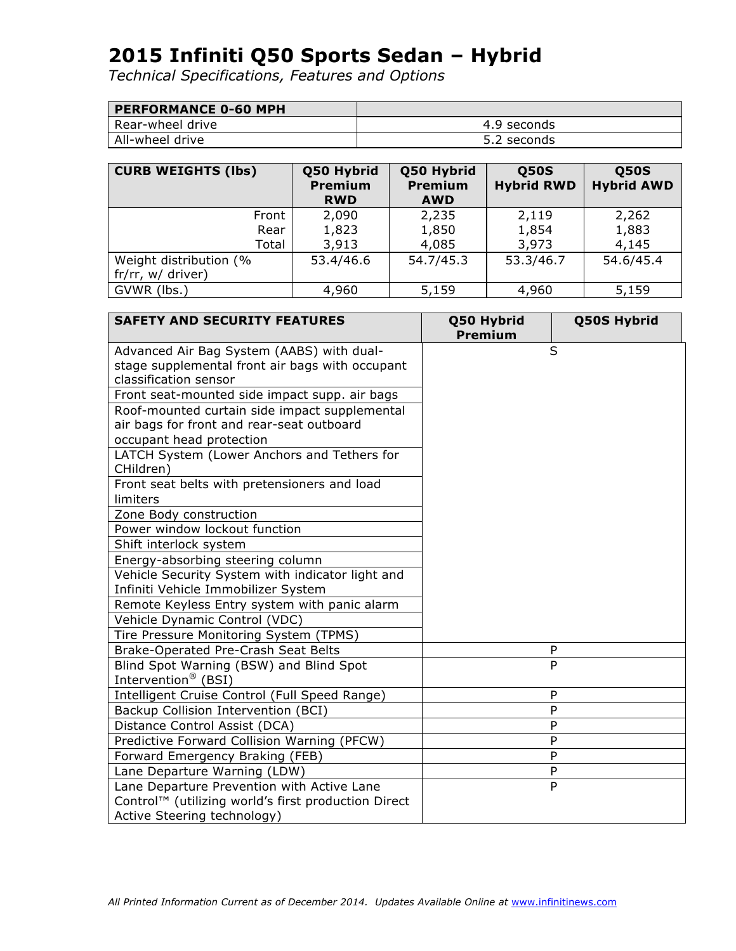| <b>PERFORMANCE 0-60 MPH</b> |             |
|-----------------------------|-------------|
| Rear-wheel drive            | 4.9 seconds |
| All-wheel drive             | 5.2 seconds |

| <b>CURB WEIGHTS (lbs)</b> | Q50 Hybrid<br><b>Premium</b><br><b>RWD</b> | Q50 Hybrid<br><b>Premium</b><br><b>AWD</b> | <b>Q50S</b><br><b>Hybrid RWD</b> | <b>Q50S</b><br><b>Hybrid AWD</b> |
|---------------------------|--------------------------------------------|--------------------------------------------|----------------------------------|----------------------------------|
| Front                     | 2,090                                      | 2,235                                      | 2,119                            | 2,262                            |
| Rear                      | 1,823                                      | 1,850                                      | 1,854                            | 1,883                            |
| Total                     | 3,913                                      | 4,085                                      | 3,973                            | 4,145                            |
| Weight distribution (%    | 53.4/46.6                                  | 54.7/45.3                                  | 53.3/46.7                        | 54.6/45.4                        |
| fr/rr, w/ driver)         |                                            |                                            |                                  |                                  |
| GVWR (lbs.)               | 4,960                                      | 5,159                                      | 4,960                            | 5,159                            |

| <b>SAFETY AND SECURITY FEATURES</b>                 | Q50 Hybrid<br><b>Premium</b> | Q50S Hybrid |
|-----------------------------------------------------|------------------------------|-------------|
| Advanced Air Bag System (AABS) with dual-           |                              | S           |
| stage supplemental front air bags with occupant     |                              |             |
| classification sensor                               |                              |             |
| Front seat-mounted side impact supp. air bags       |                              |             |
| Roof-mounted curtain side impact supplemental       |                              |             |
| air bags for front and rear-seat outboard           |                              |             |
| occupant head protection                            |                              |             |
| LATCH System (Lower Anchors and Tethers for         |                              |             |
| CHildren)                                           |                              |             |
| Front seat belts with pretensioners and load        |                              |             |
| limiters                                            |                              |             |
| Zone Body construction                              |                              |             |
| Power window lockout function                       |                              |             |
| Shift interlock system                              |                              |             |
| Energy-absorbing steering column                    |                              |             |
| Vehicle Security System with indicator light and    |                              |             |
| Infiniti Vehicle Immobilizer System                 |                              |             |
| Remote Keyless Entry system with panic alarm        |                              |             |
| Vehicle Dynamic Control (VDC)                       |                              |             |
| Tire Pressure Monitoring System (TPMS)              |                              |             |
| Brake-Operated Pre-Crash Seat Belts                 |                              | P           |
| Blind Spot Warning (BSW) and Blind Spot             |                              | P           |
| Intervention <sup>®</sup> (BSI)                     |                              |             |
| Intelligent Cruise Control (Full Speed Range)       |                              | P           |
| Backup Collision Intervention (BCI)                 |                              | ${\sf P}$   |
| Distance Control Assist (DCA)                       |                              | P           |
| Predictive Forward Collision Warning (PFCW)         |                              | P           |
| Forward Emergency Braking (FEB)                     |                              | P           |
| Lane Departure Warning (LDW)                        |                              | P           |
| Lane Departure Prevention with Active Lane          |                              | P           |
| Control™ (utilizing world's first production Direct |                              |             |
| Active Steering technology)                         |                              |             |